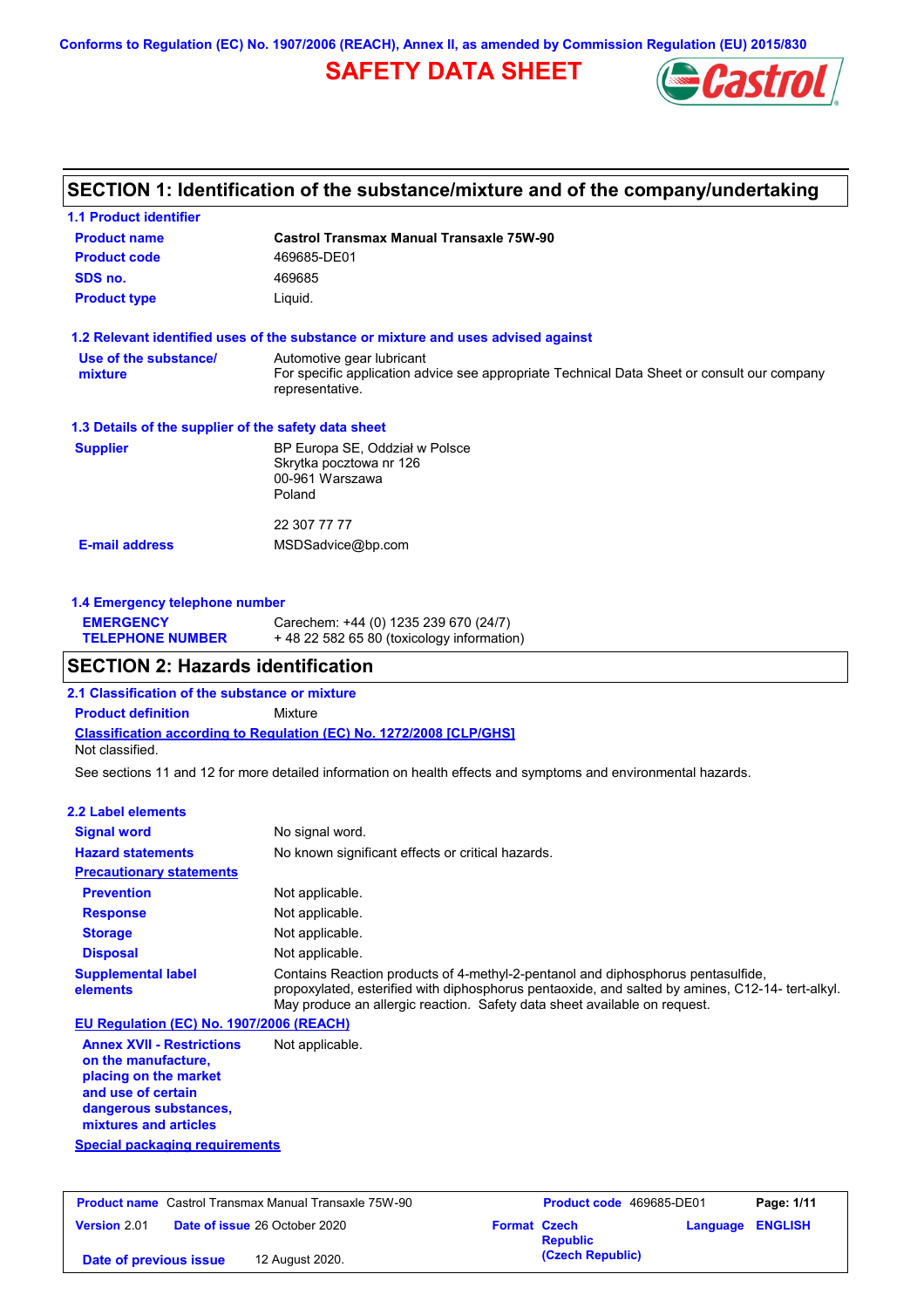**Conforms to Regulation (EC) No. 1907/2006 (REACH), Annex II, as amended by Commission Regulation (EU) 2015/830**

## **SAFETY DATA SHEET**



## **SECTION 1: Identification of the substance/mixture and of the company/undertaking**

| <b>Castrol Transmax Manual Transaxle 75W-90</b>                                                                |
|----------------------------------------------------------------------------------------------------------------|
| 469685-DE01                                                                                                    |
| 469685                                                                                                         |
| Liquid.                                                                                                        |
| 1.2 Relevant identified uses of the substance or mixture and uses advised against                              |
| Automotive gear lubricant                                                                                      |
| For specific application advice see appropriate Technical Data Sheet or consult our company<br>representative. |
| 1.3 Details of the supplier of the safety data sheet                                                           |
| BP Europa SE, Oddział w Polsce                                                                                 |
| Skrytka pocztowa nr 126                                                                                        |
| 00-961 Warszawa                                                                                                |
| Poland                                                                                                         |
| 22 307 77 77                                                                                                   |
|                                                                                                                |
|                                                                                                                |

### **1.4 Emergency telephone number**

| <b>EMERGENCY</b>        | Carechem: +44 (0) 1235 239 670 (24/7)     |
|-------------------------|-------------------------------------------|
| <b>TELEPHONE NUMBER</b> | +48 22 582 65 80 (toxicology information) |

### **SECTION 2: Hazards identification**

**2.1 Classification of the substance or mixture**

**Classification according to Regulation (EC) No. 1272/2008 [CLP/GHS] Product definition** Mixture Not classified.

See sections 11 and 12 for more detailed information on health effects and symptoms and environmental hazards.

#### **2.2 Label elements**

| 4.4 саменетентент                        |                                                                                                                                                                                                                                                                  |
|------------------------------------------|------------------------------------------------------------------------------------------------------------------------------------------------------------------------------------------------------------------------------------------------------------------|
| <b>Signal word</b>                       | No signal word.                                                                                                                                                                                                                                                  |
| <b>Hazard statements</b>                 | No known significant effects or critical hazards.                                                                                                                                                                                                                |
| <b>Precautionary statements</b>          |                                                                                                                                                                                                                                                                  |
| <b>Prevention</b>                        | Not applicable.                                                                                                                                                                                                                                                  |
| <b>Response</b>                          | Not applicable.                                                                                                                                                                                                                                                  |
| <b>Storage</b>                           | Not applicable.                                                                                                                                                                                                                                                  |
| <b>Disposal</b>                          | Not applicable.                                                                                                                                                                                                                                                  |
| <b>Supplemental label</b><br>elements    | Contains Reaction products of 4-methyl-2-pentanol and diphosphorus pentasulfide,<br>propoxylated, esterified with diphosphorus pentaoxide, and salted by amines, C12-14-tert-alkyl.<br>May produce an allergic reaction. Safety data sheet available on request. |
| EU Regulation (EC) No. 1907/2006 (REACH) |                                                                                                                                                                                                                                                                  |
| <b>Annex XVII - Restrictions</b>         | Not applicable.                                                                                                                                                                                                                                                  |

**on the manufacture, placing on the market and use of certain dangerous substances, mixtures and articles**

**Special packaging requirements**

| <b>Product name</b> Castrol Transmax Manual Transaxle 75W-90 |                                      | Product code 469685-DE01 |                  | Page: 1/11              |  |
|--------------------------------------------------------------|--------------------------------------|--------------------------|------------------|-------------------------|--|
| Version 2.01                                                 | <b>Date of issue 26 October 2020</b> | <b>Format Czech</b>      | <b>Republic</b>  | <b>Language ENGLISH</b> |  |
| Date of previous issue                                       | 12 August 2020.                      |                          | (Czech Republic) |                         |  |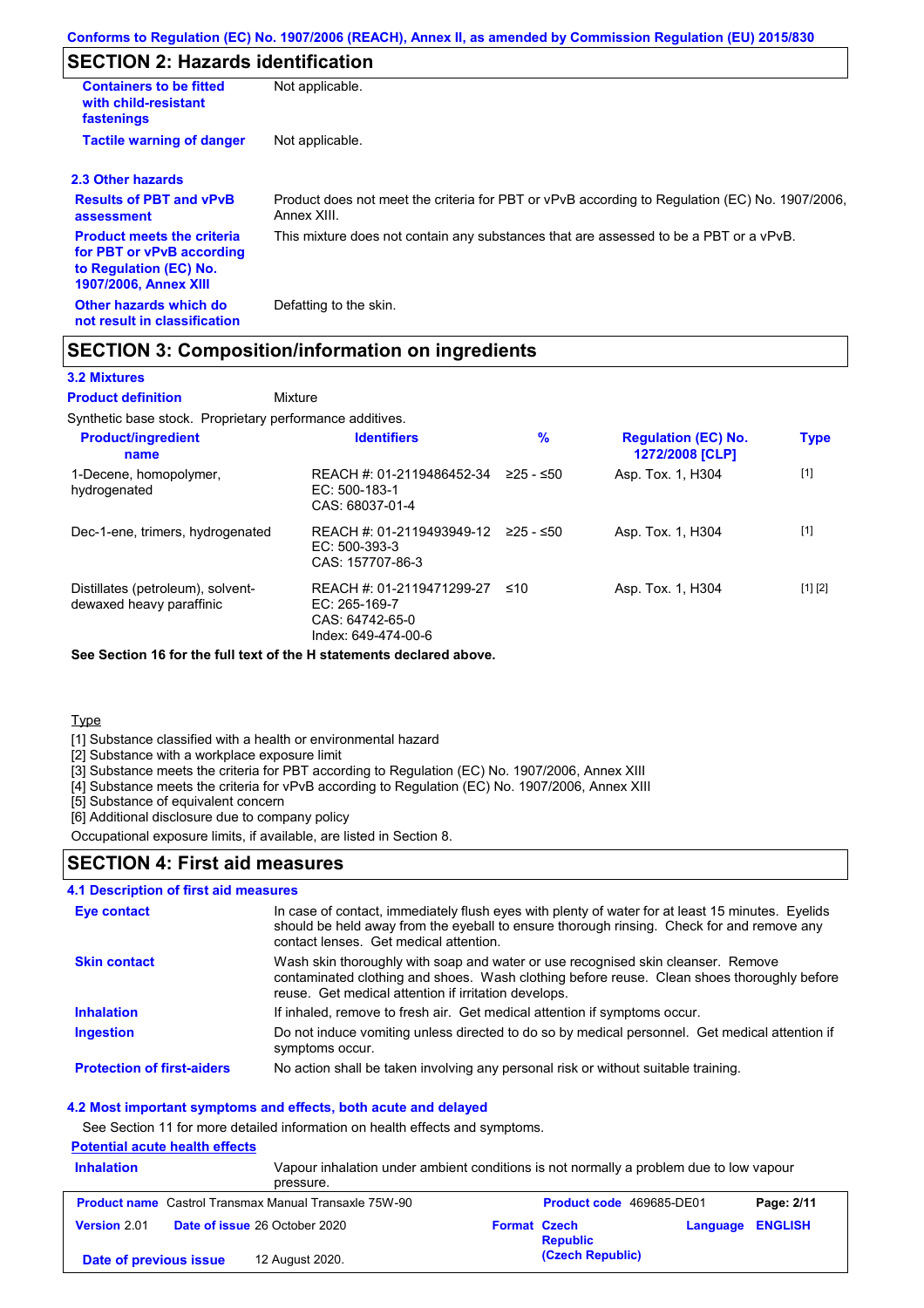## **SECTION 2: Hazards identification**

| <b>Containers to be fitted</b><br>with child-resistant<br>fastenings                                                     | Not applicable.                                                                                               |
|--------------------------------------------------------------------------------------------------------------------------|---------------------------------------------------------------------------------------------------------------|
| <b>Tactile warning of danger</b>                                                                                         | Not applicable.                                                                                               |
| 2.3 Other hazards                                                                                                        |                                                                                                               |
| <b>Results of PBT and vPvB</b><br>assessment                                                                             | Product does not meet the criteria for PBT or vPvB according to Regulation (EC) No. 1907/2006,<br>Annex XIII. |
| <b>Product meets the criteria</b><br>for PBT or vPvB according<br>to Regulation (EC) No.<br><b>1907/2006, Annex XIII</b> | This mixture does not contain any substances that are assessed to be a PBT or a vPvB.                         |
| Other hazards which do<br>not result in classification                                                                   | Defatting to the skin.                                                                                        |

### **SECTION 3: Composition/information on ingredients**

**Mixture** 

#### **3.2 Mixtures**

**Product definition**

Synthetic base stock. Proprietary performance additives.

| <b>Product/ingredient</b><br>name                             | <b>Identifiers</b>                                                                   | $\%$        | <b>Regulation (EC) No.</b><br>1272/2008 [CLP] | <b>Type</b> |
|---------------------------------------------------------------|--------------------------------------------------------------------------------------|-------------|-----------------------------------------------|-------------|
| 1-Decene, homopolymer,<br>hydrogenated                        | REACH #: 01-2119486452-34<br>$EC: 500-183-1$<br>CAS: 68037-01-4                      | $≥25 - ≤50$ | Asp. Tox. 1, H304                             | $[1]$       |
| Dec-1-ene, trimers, hydrogenated                              | REACH #: 01-2119493949-12<br>$EC: 500-393-3$<br>CAS: 157707-86-3                     | 225 - ≤50   | Asp. Tox. 1, H304                             | $[1]$       |
| Distillates (petroleum), solvent-<br>dewaxed heavy paraffinic | REACH #: 01-2119471299-27<br>EC: 265-169-7<br>CAS: 64742-65-0<br>Index: 649-474-00-6 | ≤10         | Asp. Tox. 1, H304                             | [1] [2]     |

**See Section 16 for the full text of the H statements declared above.**

**Type** 

[1] Substance classified with a health or environmental hazard

[2] Substance with a workplace exposure limit

[3] Substance meets the criteria for PBT according to Regulation (EC) No. 1907/2006, Annex XIII

[4] Substance meets the criteria for vPvB according to Regulation (EC) No. 1907/2006, Annex XIII

[5] Substance of equivalent concern

[6] Additional disclosure due to company policy

Occupational exposure limits, if available, are listed in Section 8.

### **SECTION 4: First aid measures**

#### **4.1 Description of first aid measures**

| Eye contact                       | In case of contact, immediately flush eyes with plenty of water for at least 15 minutes. Eyelids<br>should be held away from the eyeball to ensure thorough rinsing. Check for and remove any<br>contact lenses. Get medical attention. |
|-----------------------------------|-----------------------------------------------------------------------------------------------------------------------------------------------------------------------------------------------------------------------------------------|
| <b>Skin contact</b>               | Wash skin thoroughly with soap and water or use recognised skin cleanser. Remove<br>contaminated clothing and shoes. Wash clothing before reuse. Clean shoes thoroughly before<br>reuse. Get medical attention if irritation develops.  |
| <b>Inhalation</b>                 | If inhaled, remove to fresh air. Get medical attention if symptoms occur.                                                                                                                                                               |
| <b>Ingestion</b>                  | Do not induce vomiting unless directed to do so by medical personnel. Get medical attention if<br>symptoms occur.                                                                                                                       |
| <b>Protection of first-aiders</b> | No action shall be taken involving any personal risk or without suitable training.                                                                                                                                                      |

#### **4.2 Most important symptoms and effects, both acute and delayed**

See Section 11 for more detailed information on health effects and symptoms.

### **Potential acute health effects**

| <b>Inhalation</b>      | Vapour inhalation under ambient conditions is not normally a problem due to low vapour<br>pressure. |                     |                                 |                         |            |
|------------------------|-----------------------------------------------------------------------------------------------------|---------------------|---------------------------------|-------------------------|------------|
|                        | <b>Product name</b> Castrol Transmax Manual Transaxle 75W-90                                        |                     | <b>Product code</b> 469685-DE01 |                         | Page: 2/11 |
| <b>Version 2.01</b>    | <b>Date of issue 26 October 2020</b>                                                                | <b>Format Czech</b> | <b>Republic</b>                 | <b>Language ENGLISH</b> |            |
| Date of previous issue | 12 August 2020.                                                                                     |                     | (Czech Republic)                |                         |            |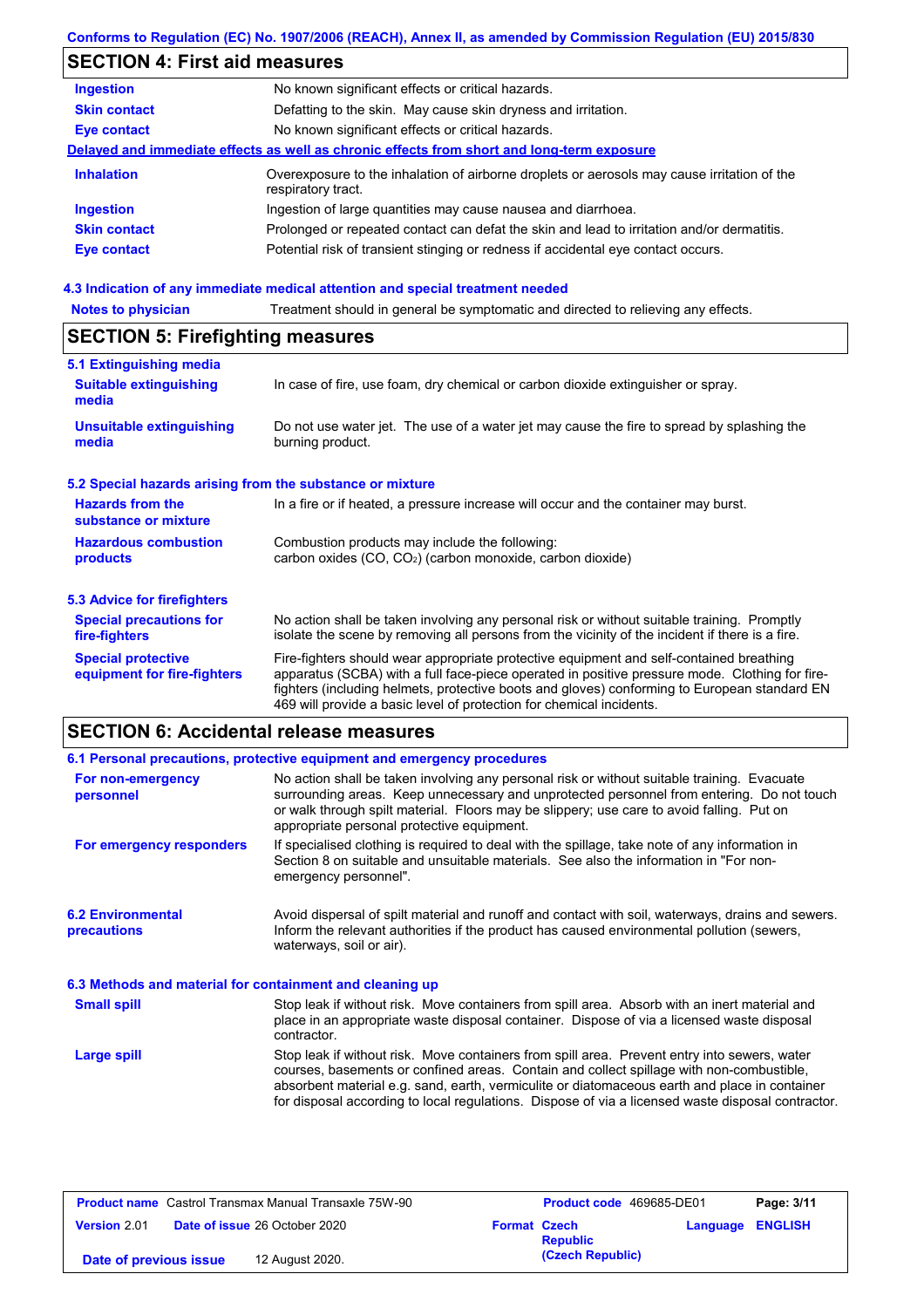# **SECTION 4: First aid measures**

| <b>Ingestion</b>    | No known significant effects or critical hazards.                                                                 |
|---------------------|-------------------------------------------------------------------------------------------------------------------|
| <b>Skin contact</b> | Defatting to the skin. May cause skin dryness and irritation.                                                     |
| <b>Eye contact</b>  | No known significant effects or critical hazards.                                                                 |
|                     | Delayed and immediate effects as well as chronic effects from short and long-term exposure                        |
| <b>Inhalation</b>   | Overexposure to the inhalation of airborne droplets or aerosols may cause irritation of the<br>respiratory tract. |
| <b>Ingestion</b>    | Ingestion of large quantities may cause nausea and diarrhoea.                                                     |
| <b>Skin contact</b> | Prolonged or repeated contact can defat the skin and lead to irritation and/or dermatitis.                        |
| <b>Eye contact</b>  | Potential risk of transient stinging or redness if accidental eye contact occurs.                                 |
|                     |                                                                                                                   |

#### **4.3 Indication of any immediate medical attention and special treatment needed**

| <b>Notes to physician</b>                                         | Treatment should in general be symptomatic and directed to relieving any effects.                                                                                                                                                                                                                                                                                 |  |  |  |
|-------------------------------------------------------------------|-------------------------------------------------------------------------------------------------------------------------------------------------------------------------------------------------------------------------------------------------------------------------------------------------------------------------------------------------------------------|--|--|--|
| <b>SECTION 5: Firefighting measures</b>                           |                                                                                                                                                                                                                                                                                                                                                                   |  |  |  |
| 5.1 Extinguishing media<br><b>Suitable extinguishing</b><br>media | In case of fire, use foam, dry chemical or carbon dioxide extinguisher or spray.                                                                                                                                                                                                                                                                                  |  |  |  |
| <b>Unsuitable extinguishing</b><br>media                          | Do not use water jet. The use of a water jet may cause the fire to spread by splashing the<br>burning product.                                                                                                                                                                                                                                                    |  |  |  |
| 5.2 Special hazards arising from the substance or mixture         |                                                                                                                                                                                                                                                                                                                                                                   |  |  |  |
| <b>Hazards from the</b><br>substance or mixture                   | In a fire or if heated, a pressure increase will occur and the container may burst.                                                                                                                                                                                                                                                                               |  |  |  |
| <b>Hazardous combustion</b><br>products                           | Combustion products may include the following:<br>carbon oxides (CO, CO <sub>2</sub> ) (carbon monoxide, carbon dioxide)                                                                                                                                                                                                                                          |  |  |  |
| <b>5.3 Advice for firefighters</b>                                |                                                                                                                                                                                                                                                                                                                                                                   |  |  |  |
| <b>Special precautions for</b><br>fire-fighters                   | No action shall be taken involving any personal risk or without suitable training. Promptly<br>isolate the scene by removing all persons from the vicinity of the incident if there is a fire.                                                                                                                                                                    |  |  |  |
| <b>Special protective</b><br>equipment for fire-fighters          | Fire-fighters should wear appropriate protective equipment and self-contained breathing<br>apparatus (SCBA) with a full face-piece operated in positive pressure mode. Clothing for fire-<br>fighters (including helmets, protective boots and gloves) conforming to European standard EN<br>469 will provide a basic level of protection for chemical incidents. |  |  |  |

# **SECTION 6: Accidental release measures**

|                                                          | 6.1 Personal precautions, protective equipment and emergency procedures                                                                                                                                                                                                                                                                                                                        |
|----------------------------------------------------------|------------------------------------------------------------------------------------------------------------------------------------------------------------------------------------------------------------------------------------------------------------------------------------------------------------------------------------------------------------------------------------------------|
| For non-emergency<br>personnel                           | No action shall be taken involving any personal risk or without suitable training. Evacuate<br>surrounding areas. Keep unnecessary and unprotected personnel from entering. Do not touch<br>or walk through spilt material. Floors may be slippery; use care to avoid falling. Put on<br>appropriate personal protective equipment.                                                            |
| For emergency responders                                 | If specialised clothing is required to deal with the spillage, take note of any information in<br>Section 8 on suitable and unsuitable materials. See also the information in "For non-<br>emergency personnel".                                                                                                                                                                               |
| <b>6.2 Environmental</b><br>precautions                  | Avoid dispersal of spilt material and runoff and contact with soil, waterways, drains and sewers.<br>Inform the relevant authorities if the product has caused environmental pollution (sewers,<br>waterways, soil or air).                                                                                                                                                                    |
| 6.3 Methods and material for containment and cleaning up |                                                                                                                                                                                                                                                                                                                                                                                                |
| <b>Small spill</b>                                       | Stop leak if without risk. Move containers from spill area. Absorb with an inert material and<br>place in an appropriate waste disposal container. Dispose of via a licensed waste disposal<br>contractor.                                                                                                                                                                                     |
| Large spill                                              | Stop leak if without risk. Move containers from spill area. Prevent entry into sewers, water<br>courses, basements or confined areas. Contain and collect spillage with non-combustible,<br>absorbent material e.g. sand, earth, vermiculite or diatomaceous earth and place in container<br>for disposal according to local regulations. Dispose of via a licensed waste disposal contractor. |

| <b>Product name</b> Castrol Transmax Manual Transaxle 75W-90 |                                      | Product code 469685-DE01 |                                        | Page: 3/11              |  |
|--------------------------------------------------------------|--------------------------------------|--------------------------|----------------------------------------|-------------------------|--|
| <b>Version 2.01</b>                                          | <b>Date of issue 26 October 2020</b> |                          | <b>Format Czech</b><br><b>Republic</b> | <b>Language ENGLISH</b> |  |
| Date of previous issue                                       | 12 August 2020.                      |                          | (Czech Republic)                       |                         |  |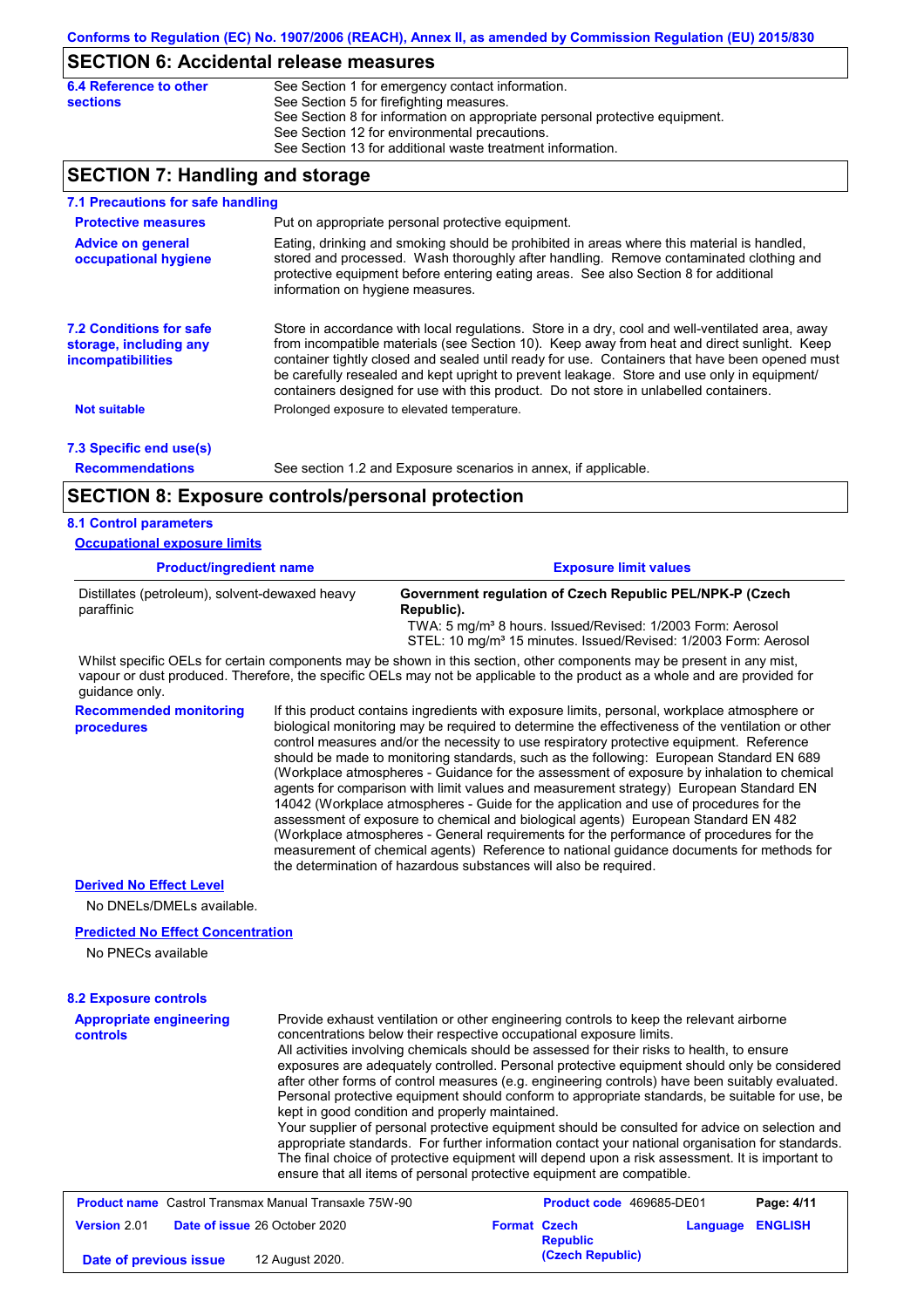### **SECTION 6: Accidental release measures**

| 6.4 Reference to other | See Section 1 for emergency contact information.                            |
|------------------------|-----------------------------------------------------------------------------|
| sections               | See Section 5 for firefighting measures.                                    |
|                        | See Section 8 for information on appropriate personal protective equipment. |
|                        | See Section 12 for environmental precautions.                               |
|                        | See Section 13 for additional waste treatment information.                  |

## **SECTION 7: Handling and storage**

| 7.1 Precautions for safe handling                                             |                                                                                                                                                                                                                                                                                                                                                                                                                                                                                          |  |  |  |
|-------------------------------------------------------------------------------|------------------------------------------------------------------------------------------------------------------------------------------------------------------------------------------------------------------------------------------------------------------------------------------------------------------------------------------------------------------------------------------------------------------------------------------------------------------------------------------|--|--|--|
| <b>Protective measures</b>                                                    | Put on appropriate personal protective equipment.                                                                                                                                                                                                                                                                                                                                                                                                                                        |  |  |  |
| <b>Advice on general</b><br>occupational hygiene                              | Eating, drinking and smoking should be prohibited in areas where this material is handled,<br>stored and processed. Wash thoroughly after handling. Remove contaminated clothing and<br>protective equipment before entering eating areas. See also Section 8 for additional<br>information on hygiene measures.                                                                                                                                                                         |  |  |  |
| <b>7.2 Conditions for safe</b><br>storage, including any<br>incompatibilities | Store in accordance with local regulations. Store in a dry, cool and well-ventilated area, away<br>from incompatible materials (see Section 10). Keep away from heat and direct sunlight. Keep<br>container tightly closed and sealed until ready for use. Containers that have been opened must<br>be carefully resealed and kept upright to prevent leakage. Store and use only in equipment/<br>containers designed for use with this product. Do not store in unlabelled containers. |  |  |  |
| <b>Not suitable</b>                                                           | Prolonged exposure to elevated temperature.                                                                                                                                                                                                                                                                                                                                                                                                                                              |  |  |  |
| 7.3 Specific end use(s)                                                       |                                                                                                                                                                                                                                                                                                                                                                                                                                                                                          |  |  |  |
| <b>Recommendations</b>                                                        | See section 1.2 and Exposure scenarios in annex, if applicable.                                                                                                                                                                                                                                                                                                                                                                                                                          |  |  |  |
| <b>SECTION 8: Exposure controls/personal protection</b>                       |                                                                                                                                                                                                                                                                                                                                                                                                                                                                                          |  |  |  |
| <b>8.1 Control parameters</b>                                                 |                                                                                                                                                                                                                                                                                                                                                                                                                                                                                          |  |  |  |
| <b>Occupational exposure limits</b>                                           |                                                                                                                                                                                                                                                                                                                                                                                                                                                                                          |  |  |  |
| <b>Product/ingredient name</b>                                                | <b>Exposure limit values</b>                                                                                                                                                                                                                                                                                                                                                                                                                                                             |  |  |  |
| Distillates (petroleum), solvent-dewaxed heavy<br>paraffinic                  | Government regulation of Czech Republic PEL/NPK-P (Czech<br>Republic).<br>TWA: 5 mg/m <sup>3</sup> 8 hours. Issued/Revised: 1/2003 Form: Aerosol<br>STEL: 10 mg/m <sup>3</sup> 15 minutes. Issued/Revised: 1/2003 Form: Aerosol                                                                                                                                                                                                                                                          |  |  |  |
|                                                                               | Whilst specific OELs for certain components may be shown in this section, other components may be present in any mist,                                                                                                                                                                                                                                                                                                                                                                   |  |  |  |

vapour or dust produced. Therefore, the specific OELs may not be applicable to the product as a whole and are provided for guidance only.

**Recommended monitoring procedures** If this product contains ingredients with exposure limits, personal, workplace atmosphere or biological monitoring may be required to determine the effectiveness of the ventilation or other control measures and/or the necessity to use respiratory protective equipment. Reference should be made to monitoring standards, such as the following: European Standard EN 689 (Workplace atmospheres - Guidance for the assessment of exposure by inhalation to chemical agents for comparison with limit values and measurement strategy) European Standard EN 14042 (Workplace atmospheres - Guide for the application and use of procedures for the assessment of exposure to chemical and biological agents) European Standard EN 482 (Workplace atmospheres - General requirements for the performance of procedures for the measurement of chemical agents) Reference to national guidance documents for methods for the determination of hazardous substances will also be required.

#### **Derived No Effect Level**

No DNELs/DMELs available.

#### **Predicted No Effect Concentration**

No PNECs available

| <b>8.2 Exposure controls</b>                                 |                                                                                                                                                                                                                                                                                                                                                                                                                                                                                                                                                                                                                                                                                                                                                                                                                                                                                                                                                                                                         |                                        |          |                |
|--------------------------------------------------------------|---------------------------------------------------------------------------------------------------------------------------------------------------------------------------------------------------------------------------------------------------------------------------------------------------------------------------------------------------------------------------------------------------------------------------------------------------------------------------------------------------------------------------------------------------------------------------------------------------------------------------------------------------------------------------------------------------------------------------------------------------------------------------------------------------------------------------------------------------------------------------------------------------------------------------------------------------------------------------------------------------------|----------------------------------------|----------|----------------|
| <b>Appropriate engineering</b><br>controls                   | Provide exhaust ventilation or other engineering controls to keep the relevant airborne<br>concentrations below their respective occupational exposure limits.<br>All activities involving chemicals should be assessed for their risks to health, to ensure<br>exposures are adequately controlled. Personal protective equipment should only be considered<br>after other forms of control measures (e.g. engineering controls) have been suitably evaluated.<br>Personal protective equipment should conform to appropriate standards, be suitable for use, be<br>kept in good condition and properly maintained.<br>Your supplier of personal protective equipment should be consulted for advice on selection and<br>appropriate standards. For further information contact your national organisation for standards.<br>The final choice of protective equipment will depend upon a risk assessment. It is important to<br>ensure that all items of personal protective equipment are compatible. |                                        |          |                |
| <b>Product name</b> Castrol Transmax Manual Transaxle 75W-90 |                                                                                                                                                                                                                                                                                                                                                                                                                                                                                                                                                                                                                                                                                                                                                                                                                                                                                                                                                                                                         | Product code 469685-DE01               |          | Page: 4/11     |
| <b>Version 2.01</b>                                          | <b>Date of issue 26 October 2020</b>                                                                                                                                                                                                                                                                                                                                                                                                                                                                                                                                                                                                                                                                                                                                                                                                                                                                                                                                                                    | <b>Format Czech</b><br><b>Republic</b> | Language | <b>ENGLISH</b> |
| Date of previous issue                                       | 12 August 2020.                                                                                                                                                                                                                                                                                                                                                                                                                                                                                                                                                                                                                                                                                                                                                                                                                                                                                                                                                                                         | (Czech Republic)                       |          |                |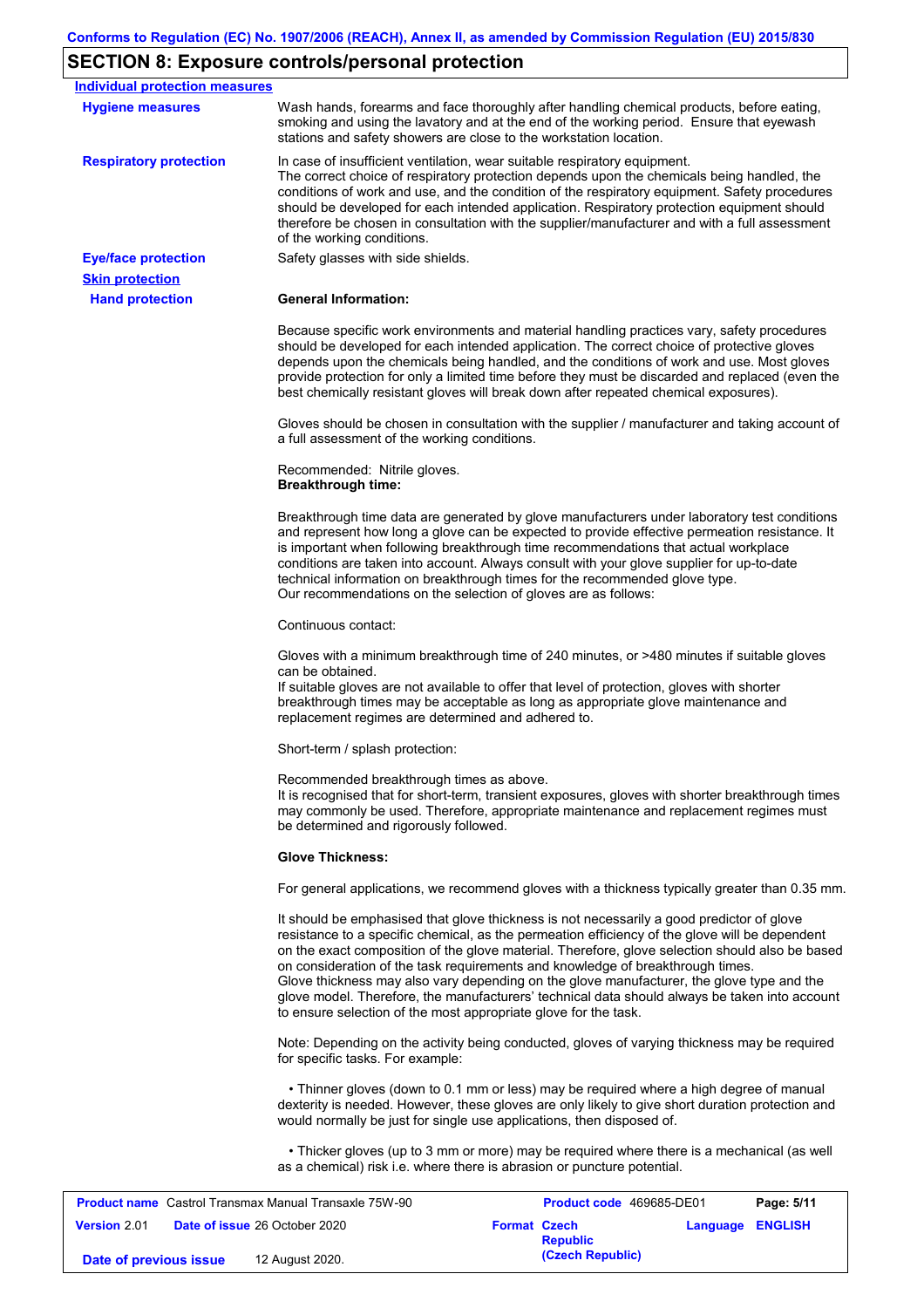## **SECTION 8: Exposure controls/personal protection**

**Date of previous issue** 12 August 2020.

| <b>Individual protection measures</b>                        |                                                                                                                                                                                                                                                                                                                                                                                                                                                                                                                                                                                                                                                   |                     |                          |                  |            |
|--------------------------------------------------------------|---------------------------------------------------------------------------------------------------------------------------------------------------------------------------------------------------------------------------------------------------------------------------------------------------------------------------------------------------------------------------------------------------------------------------------------------------------------------------------------------------------------------------------------------------------------------------------------------------------------------------------------------------|---------------------|--------------------------|------------------|------------|
| <b>Hygiene measures</b>                                      | Wash hands, forearms and face thoroughly after handling chemical products, before eating,<br>smoking and using the lavatory and at the end of the working period. Ensure that eyewash<br>stations and safety showers are close to the workstation location.                                                                                                                                                                                                                                                                                                                                                                                       |                     |                          |                  |            |
| <b>Respiratory protection</b>                                | In case of insufficient ventilation, wear suitable respiratory equipment.<br>The correct choice of respiratory protection depends upon the chemicals being handled, the<br>conditions of work and use, and the condition of the respiratory equipment. Safety procedures<br>should be developed for each intended application. Respiratory protection equipment should<br>therefore be chosen in consultation with the supplier/manufacturer and with a full assessment<br>of the working conditions.                                                                                                                                             |                     |                          |                  |            |
| <b>Eye/face protection</b><br><b>Skin protection</b>         | Safety glasses with side shields.                                                                                                                                                                                                                                                                                                                                                                                                                                                                                                                                                                                                                 |                     |                          |                  |            |
| <b>Hand protection</b>                                       | <b>General Information:</b>                                                                                                                                                                                                                                                                                                                                                                                                                                                                                                                                                                                                                       |                     |                          |                  |            |
|                                                              | Because specific work environments and material handling practices vary, safety procedures<br>should be developed for each intended application. The correct choice of protective gloves<br>depends upon the chemicals being handled, and the conditions of work and use. Most gloves<br>provide protection for only a limited time before they must be discarded and replaced (even the<br>best chemically resistant gloves will break down after repeated chemical exposures).                                                                                                                                                                  |                     |                          |                  |            |
|                                                              | Gloves should be chosen in consultation with the supplier / manufacturer and taking account of<br>a full assessment of the working conditions.                                                                                                                                                                                                                                                                                                                                                                                                                                                                                                    |                     |                          |                  |            |
|                                                              | Recommended: Nitrile gloves.<br><b>Breakthrough time:</b>                                                                                                                                                                                                                                                                                                                                                                                                                                                                                                                                                                                         |                     |                          |                  |            |
|                                                              | Breakthrough time data are generated by glove manufacturers under laboratory test conditions<br>and represent how long a glove can be expected to provide effective permeation resistance. It<br>is important when following breakthrough time recommendations that actual workplace<br>conditions are taken into account. Always consult with your glove supplier for up-to-date<br>technical information on breakthrough times for the recommended glove type.<br>Our recommendations on the selection of gloves are as follows:                                                                                                                |                     |                          |                  |            |
|                                                              | Continuous contact:                                                                                                                                                                                                                                                                                                                                                                                                                                                                                                                                                                                                                               |                     |                          |                  |            |
|                                                              | Gloves with a minimum breakthrough time of 240 minutes, or >480 minutes if suitable gloves<br>can be obtained.<br>If suitable gloves are not available to offer that level of protection, gloves with shorter<br>breakthrough times may be acceptable as long as appropriate glove maintenance and<br>replacement regimes are determined and adhered to.                                                                                                                                                                                                                                                                                          |                     |                          |                  |            |
|                                                              | Short-term / splash protection:                                                                                                                                                                                                                                                                                                                                                                                                                                                                                                                                                                                                                   |                     |                          |                  |            |
|                                                              | Recommended breakthrough times as above.<br>It is recognised that for short-term, transient exposures, gloves with shorter breakthrough times<br>may commonly be used. Therefore, appropriate maintenance and replacement regimes must<br>be determined and rigorously followed.                                                                                                                                                                                                                                                                                                                                                                  |                     |                          |                  |            |
|                                                              | <b>Glove Thickness:</b>                                                                                                                                                                                                                                                                                                                                                                                                                                                                                                                                                                                                                           |                     |                          |                  |            |
|                                                              | For general applications, we recommend gloves with a thickness typically greater than 0.35 mm.                                                                                                                                                                                                                                                                                                                                                                                                                                                                                                                                                    |                     |                          |                  |            |
|                                                              | It should be emphasised that glove thickness is not necessarily a good predictor of glove<br>resistance to a specific chemical, as the permeation efficiency of the glove will be dependent<br>on the exact composition of the glove material. Therefore, glove selection should also be based<br>on consideration of the task requirements and knowledge of breakthrough times.<br>Glove thickness may also vary depending on the glove manufacturer, the glove type and the<br>glove model. Therefore, the manufacturers' technical data should always be taken into account<br>to ensure selection of the most appropriate glove for the task. |                     |                          |                  |            |
|                                                              | Note: Depending on the activity being conducted, gloves of varying thickness may be required<br>for specific tasks. For example:                                                                                                                                                                                                                                                                                                                                                                                                                                                                                                                  |                     |                          |                  |            |
|                                                              | • Thinner gloves (down to 0.1 mm or less) may be required where a high degree of manual<br>dexterity is needed. However, these gloves are only likely to give short duration protection and<br>would normally be just for single use applications, then disposed of.                                                                                                                                                                                                                                                                                                                                                                              |                     |                          |                  |            |
|                                                              | • Thicker gloves (up to 3 mm or more) may be required where there is a mechanical (as well<br>as a chemical) risk i.e. where there is abrasion or puncture potential.                                                                                                                                                                                                                                                                                                                                                                                                                                                                             |                     |                          |                  |            |
| <b>Product name</b> Castrol Transmax Manual Transaxle 75W-90 |                                                                                                                                                                                                                                                                                                                                                                                                                                                                                                                                                                                                                                                   |                     | Product code 469685-DE01 |                  | Page: 5/11 |
| <b>Version 2.01</b>                                          | Date of issue 26 October 2020                                                                                                                                                                                                                                                                                                                                                                                                                                                                                                                                                                                                                     | <b>Format Czech</b> | <b>Republic</b>          | Language ENGLISH |            |
| Date of previous issue                                       | 12 August 2020.                                                                                                                                                                                                                                                                                                                                                                                                                                                                                                                                                                                                                                   |                     | (Czech Republic)         |                  |            |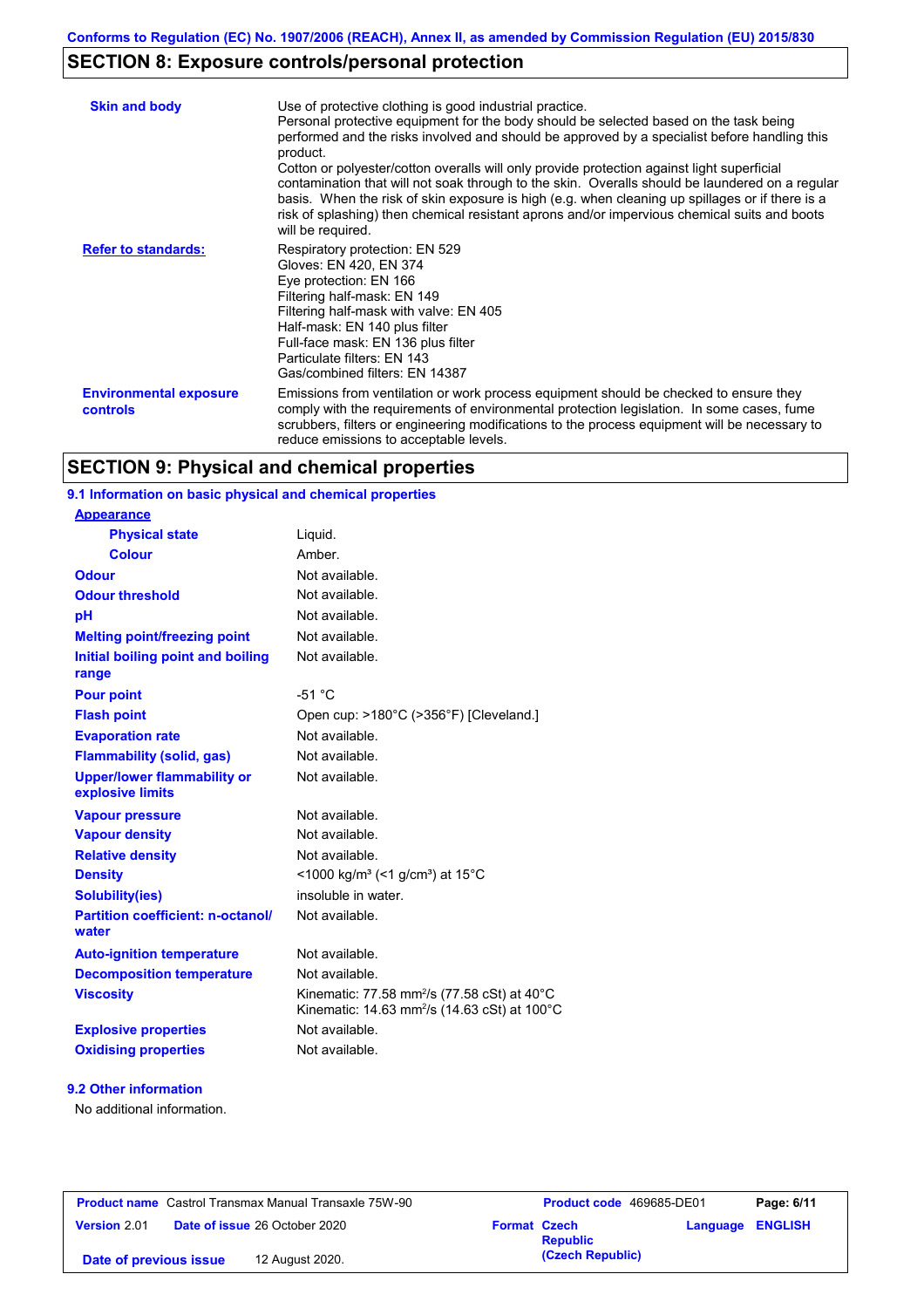## **SECTION 8: Exposure controls/personal protection**

| <b>Skin and body</b>                             | Use of protective clothing is good industrial practice.<br>Personal protective equipment for the body should be selected based on the task being<br>performed and the risks involved and should be approved by a specialist before handling this<br>product.<br>Cotton or polyester/cotton overalls will only provide protection against light superficial<br>contamination that will not soak through to the skin. Overalls should be laundered on a regular<br>basis. When the risk of skin exposure is high (e.g. when cleaning up spillages or if there is a<br>risk of splashing) then chemical resistant aprons and/or impervious chemical suits and boots<br>will be required. |
|--------------------------------------------------|---------------------------------------------------------------------------------------------------------------------------------------------------------------------------------------------------------------------------------------------------------------------------------------------------------------------------------------------------------------------------------------------------------------------------------------------------------------------------------------------------------------------------------------------------------------------------------------------------------------------------------------------------------------------------------------|
| <b>Refer to standards:</b>                       | Respiratory protection: EN 529<br>Gloves: EN 420, EN 374<br>Eye protection: EN 166<br>Filtering half-mask: EN 149<br>Filtering half-mask with valve: EN 405<br>Half-mask: EN 140 plus filter<br>Full-face mask: EN 136 plus filter<br>Particulate filters: EN 143<br>Gas/combined filters: EN 14387                                                                                                                                                                                                                                                                                                                                                                                   |
| <b>Environmental exposure</b><br><b>controls</b> | Emissions from ventilation or work process equipment should be checked to ensure they<br>comply with the requirements of environmental protection legislation. In some cases, fume<br>scrubbers, filters or engineering modifications to the process equipment will be necessary to<br>reduce emissions to acceptable levels.                                                                                                                                                                                                                                                                                                                                                         |

# **SECTION 9: Physical and chemical properties**

## **9.1 Information on basic physical and chemical properties**

| <b>Appearance</b>                                      |                                                                                                                                           |
|--------------------------------------------------------|-------------------------------------------------------------------------------------------------------------------------------------------|
| <b>Physical state</b>                                  | Liquid.                                                                                                                                   |
| <b>Colour</b>                                          | Amber.                                                                                                                                    |
| <b>Odour</b>                                           | Not available.                                                                                                                            |
| <b>Odour threshold</b>                                 | Not available.                                                                                                                            |
| pH                                                     | Not available.                                                                                                                            |
| <b>Melting point/freezing point</b>                    | Not available.                                                                                                                            |
| Initial boiling point and boiling<br>range             | Not available.                                                                                                                            |
| <b>Pour point</b>                                      | $-51 °C$                                                                                                                                  |
| <b>Flash point</b>                                     | Open cup: >180°C (>356°F) [Cleveland.]                                                                                                    |
| <b>Evaporation rate</b>                                | Not available.                                                                                                                            |
| <b>Flammability (solid, gas)</b>                       | Not available.                                                                                                                            |
| <b>Upper/lower flammability or</b><br>explosive limits | Not available.                                                                                                                            |
| <b>Vapour pressure</b>                                 | Not available.                                                                                                                            |
| <b>Vapour density</b>                                  | Not available.                                                                                                                            |
| <b>Relative density</b>                                | Not available.                                                                                                                            |
| <b>Density</b>                                         | <1000 kg/m <sup>3</sup> (<1 g/cm <sup>3</sup> ) at 15 <sup>°</sup> C                                                                      |
| <b>Solubility(ies)</b>                                 | insoluble in water.                                                                                                                       |
| <b>Partition coefficient: n-octanol/</b><br>water      | Not available.                                                                                                                            |
| <b>Auto-ignition temperature</b>                       | Not available.                                                                                                                            |
| <b>Decomposition temperature</b>                       | Not available.                                                                                                                            |
| <b>Viscosity</b>                                       | Kinematic: 77.58 mm <sup>2</sup> /s (77.58 cSt) at 40 $^{\circ}$ C<br>Kinematic: 14.63 mm <sup>2</sup> /s (14.63 cSt) at 100 $^{\circ}$ C |
| <b>Explosive properties</b>                            | Not available.                                                                                                                            |
| <b>Oxidising properties</b>                            | Not available.                                                                                                                            |

#### **9.2 Other information**

No additional information.

| <b>Product name</b> Castrol Transmax Manual Transaxle 75W-90 |                                      | <b>Product code</b> 469685-DE01 |                  | Page: 6/11 |                         |
|--------------------------------------------------------------|--------------------------------------|---------------------------------|------------------|------------|-------------------------|
| <b>Version 2.01</b>                                          | <b>Date of issue 26 October 2020</b> | <b>Format Czech</b>             | <b>Republic</b>  |            | <b>Language ENGLISH</b> |
| Date of previous issue                                       | 12 August 2020.                      |                                 | (Czech Republic) |            |                         |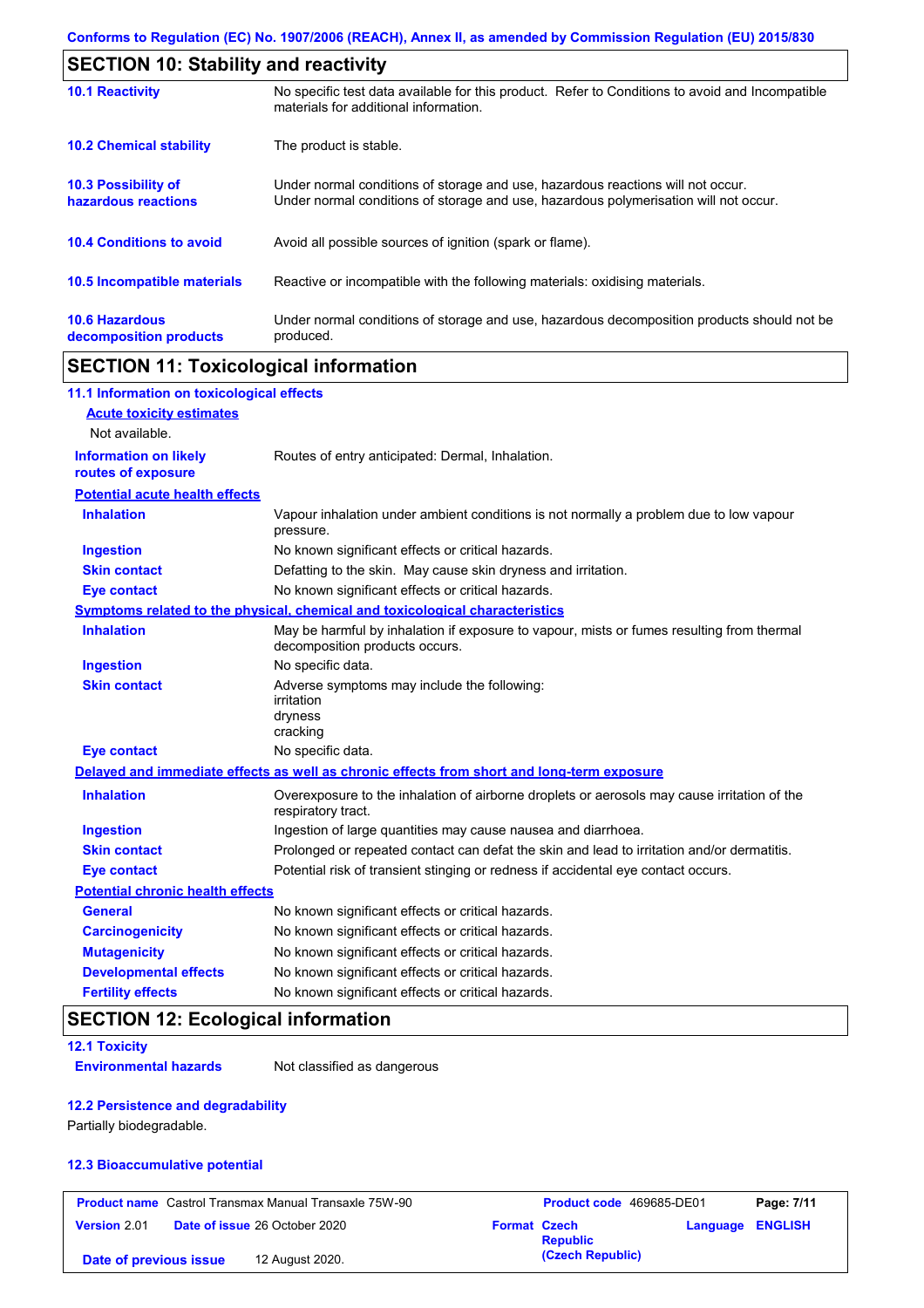| <b>SECTION 10: Stability and reactivity</b>       |                                                                                                                                                                         |  |  |  |
|---------------------------------------------------|-------------------------------------------------------------------------------------------------------------------------------------------------------------------------|--|--|--|
| <b>10.1 Reactivity</b>                            | No specific test data available for this product. Refer to Conditions to avoid and Incompatible<br>materials for additional information.                                |  |  |  |
| <b>10.2 Chemical stability</b>                    | The product is stable.                                                                                                                                                  |  |  |  |
| <b>10.3 Possibility of</b><br>hazardous reactions | Under normal conditions of storage and use, hazardous reactions will not occur.<br>Under normal conditions of storage and use, hazardous polymerisation will not occur. |  |  |  |
| <b>10.4 Conditions to avoid</b>                   | Avoid all possible sources of ignition (spark or flame).                                                                                                                |  |  |  |
| 10.5 Incompatible materials                       | Reactive or incompatible with the following materials: oxidising materials.                                                                                             |  |  |  |
| <b>10.6 Hazardous</b><br>decomposition products   | Under normal conditions of storage and use, hazardous decomposition products should not be<br>produced.                                                                 |  |  |  |

## **SECTION 11: Toxicological information**

| 11.1 Information on toxicological effects          |                                                                                                                             |
|----------------------------------------------------|-----------------------------------------------------------------------------------------------------------------------------|
| <b>Acute toxicity estimates</b>                    |                                                                                                                             |
| Not available.                                     |                                                                                                                             |
| <b>Information on likely</b><br>routes of exposure | Routes of entry anticipated: Dermal, Inhalation.                                                                            |
| <b>Potential acute health effects</b>              |                                                                                                                             |
| <b>Inhalation</b>                                  | Vapour inhalation under ambient conditions is not normally a problem due to low vapour<br>pressure.                         |
| <b>Ingestion</b>                                   | No known significant effects or critical hazards.                                                                           |
| <b>Skin contact</b>                                | Defatting to the skin. May cause skin dryness and irritation.                                                               |
| <b>Eye contact</b>                                 | No known significant effects or critical hazards.                                                                           |
|                                                    | Symptoms related to the physical, chemical and toxicological characteristics                                                |
| <b>Inhalation</b>                                  | May be harmful by inhalation if exposure to vapour, mists or fumes resulting from thermal<br>decomposition products occurs. |
| <b>Ingestion</b>                                   | No specific data.                                                                                                           |
| <b>Skin contact</b>                                | Adverse symptoms may include the following:<br>irritation<br>dryness<br>cracking                                            |
| <b>Eye contact</b>                                 | No specific data.                                                                                                           |
|                                                    | Delayed and immediate effects as well as chronic effects from short and long-term exposure                                  |
| <b>Inhalation</b>                                  | Overexposure to the inhalation of airborne droplets or aerosols may cause irritation of the<br>respiratory tract.           |
| <b>Ingestion</b>                                   | Ingestion of large quantities may cause nausea and diarrhoea.                                                               |
| <b>Skin contact</b>                                | Prolonged or repeated contact can defat the skin and lead to irritation and/or dermatitis.                                  |
| <b>Eye contact</b>                                 | Potential risk of transient stinging or redness if accidental eye contact occurs.                                           |
| <b>Potential chronic health effects</b>            |                                                                                                                             |
| General                                            | No known significant effects or critical hazards.                                                                           |
| <b>Carcinogenicity</b>                             | No known significant effects or critical hazards.                                                                           |
| <b>Mutagenicity</b>                                | No known significant effects or critical hazards.                                                                           |
| <b>Developmental effects</b>                       | No known significant effects or critical hazards.                                                                           |
| <b>Fertility effects</b>                           | No known significant effects or critical hazards.                                                                           |

## **SECTION 12: Ecological information**

### **12.1 Toxicity**

**Environmental hazards** Not classified as dangerous

#### **12.2 Persistence and degradability**

Partially biodegradable.

#### **12.3 Bioaccumulative potential**

|                        | <b>Product name</b> Castrol Transmax Manual Transaxle 75W-90 |                     | <b>Product code</b> 469685-DE01 |                         | Page: 7/11 |
|------------------------|--------------------------------------------------------------|---------------------|---------------------------------|-------------------------|------------|
| <b>Version 2.01</b>    | <b>Date of issue 26 October 2020</b>                         | <b>Format Czech</b> | <b>Republic</b>                 | <b>Language ENGLISH</b> |            |
| Date of previous issue | 12 August 2020.                                              |                     | (Czech Republic)                |                         |            |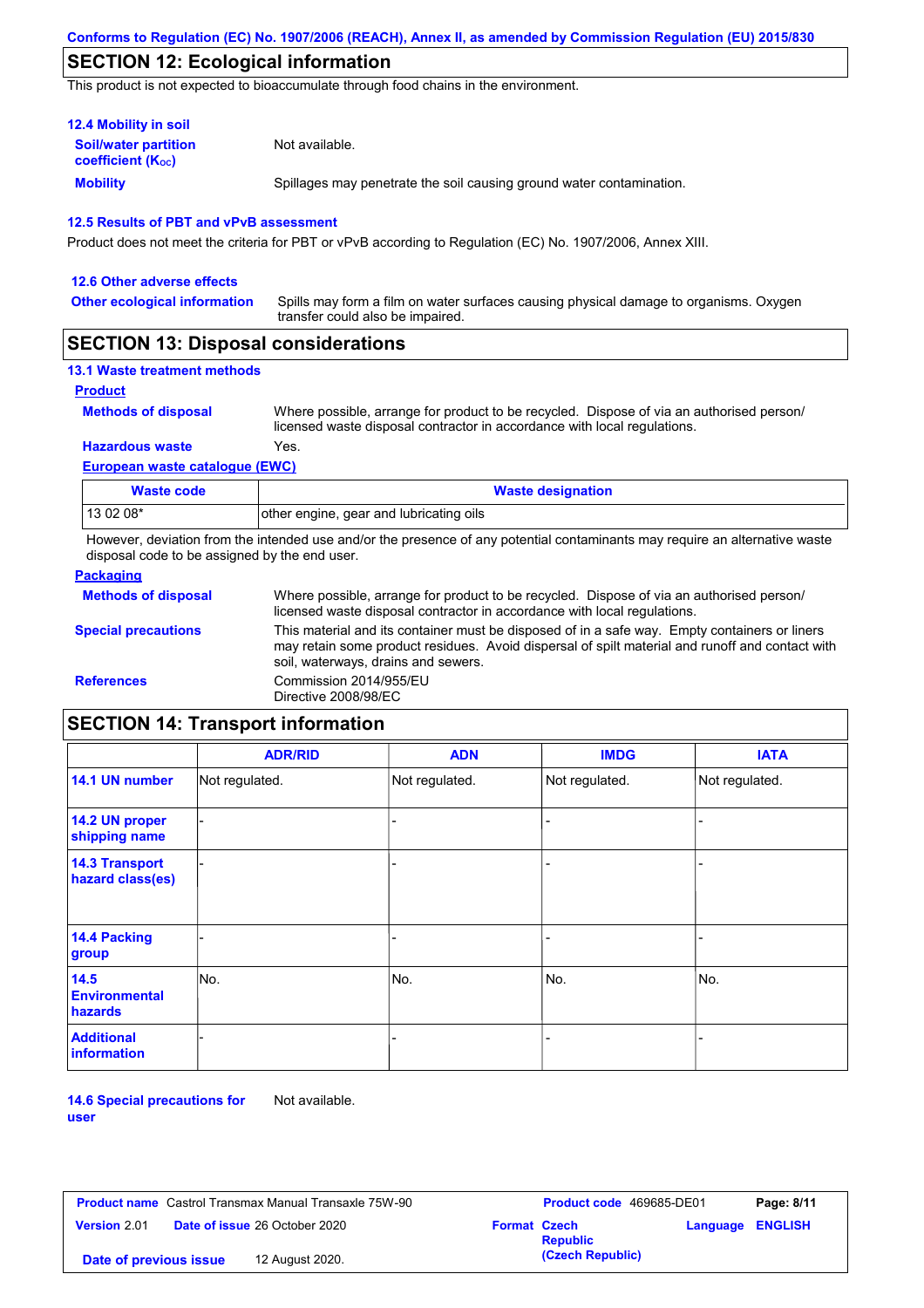## **SECTION 12: Ecological information**

This product is not expected to bioaccumulate through food chains in the environment.

| <b>12.4 Mobility in soil</b>                                  |                                                                      |
|---------------------------------------------------------------|----------------------------------------------------------------------|
| <b>Soil/water partition</b><br>coefficient (K <sub>oc</sub> ) | Not available.                                                       |
| <b>Mobility</b>                                               | Spillages may penetrate the soil causing ground water contamination. |

#### **12.5 Results of PBT and vPvB assessment**

Product does not meet the criteria for PBT or vPvB according to Regulation (EC) No. 1907/2006, Annex XIII.

| 12.6 Other adverse effects          |                                                                                                                           |
|-------------------------------------|---------------------------------------------------------------------------------------------------------------------------|
| <b>Other ecological information</b> | Spills may form a film on water surfaces causing physical damage to organisms. Oxygen<br>transfer could also be impaired. |

## **SECTION 13: Disposal considerations**

|  |  | <b>13.1 Waste treatment methods</b> |  |
|--|--|-------------------------------------|--|
|--|--|-------------------------------------|--|

#### **Product**

**Methods of disposal**

Where possible, arrange for product to be recycled. Dispose of via an authorised person/ licensed waste disposal contractor in accordance with local regulations.

#### **European waste catalogue (EWC) Hazardous waste** Yes.

| <b>Waste code</b> | <b>Waste designation</b>                |
|-------------------|-----------------------------------------|
| 13 02 08*         | other engine, gear and lubricating oils |

However, deviation from the intended use and/or the presence of any potential contaminants may require an alternative waste disposal code to be assigned by the end user.

| <b>Packaging</b>           |                                                                                                                                                                                                                                         |
|----------------------------|-----------------------------------------------------------------------------------------------------------------------------------------------------------------------------------------------------------------------------------------|
| <b>Methods of disposal</b> | Where possible, arrange for product to be recycled. Dispose of via an authorised person/<br>licensed waste disposal contractor in accordance with local regulations.                                                                    |
| <b>Special precautions</b> | This material and its container must be disposed of in a safe way. Empty containers or liners<br>may retain some product residues. Avoid dispersal of spilt material and runoff and contact with<br>soil, waterways, drains and sewers. |
| <b>References</b>          | Commission 2014/955/EU<br>Directive 2008/98/EC                                                                                                                                                                                          |

## **SECTION 14: Transport information**

|                                           | <b>ADR/RID</b> | <b>ADN</b>     | <b>IMDG</b>    | <b>IATA</b>    |
|-------------------------------------------|----------------|----------------|----------------|----------------|
| 14.1 UN number                            | Not regulated. | Not regulated. | Not regulated. | Not regulated. |
| 14.2 UN proper<br>shipping name           |                |                |                |                |
| <b>14.3 Transport</b><br>hazard class(es) |                |                | ۰              |                |
| 14.4 Packing<br>group                     |                |                | -              |                |
| 14.5<br><b>Environmental</b><br>hazards   | No.            | No.            | No.            | No.            |
| <b>Additional</b><br><b>information</b>   |                |                |                |                |

**14.6 Special precautions for user** Not available.

|                        | <b>Product name</b> Castrol Transmax Manual Transaxle 75W-90 |                     | <b>Product code</b> 469685-DE01 |                         | Page: 8/11 |
|------------------------|--------------------------------------------------------------|---------------------|---------------------------------|-------------------------|------------|
| <b>Version 2.01</b>    | <b>Date of issue 26 October 2020</b>                         | <b>Format Czech</b> | <b>Republic</b>                 | <b>Language ENGLISH</b> |            |
| Date of previous issue | 12 August 2020.                                              |                     | (Czech Republic)                |                         |            |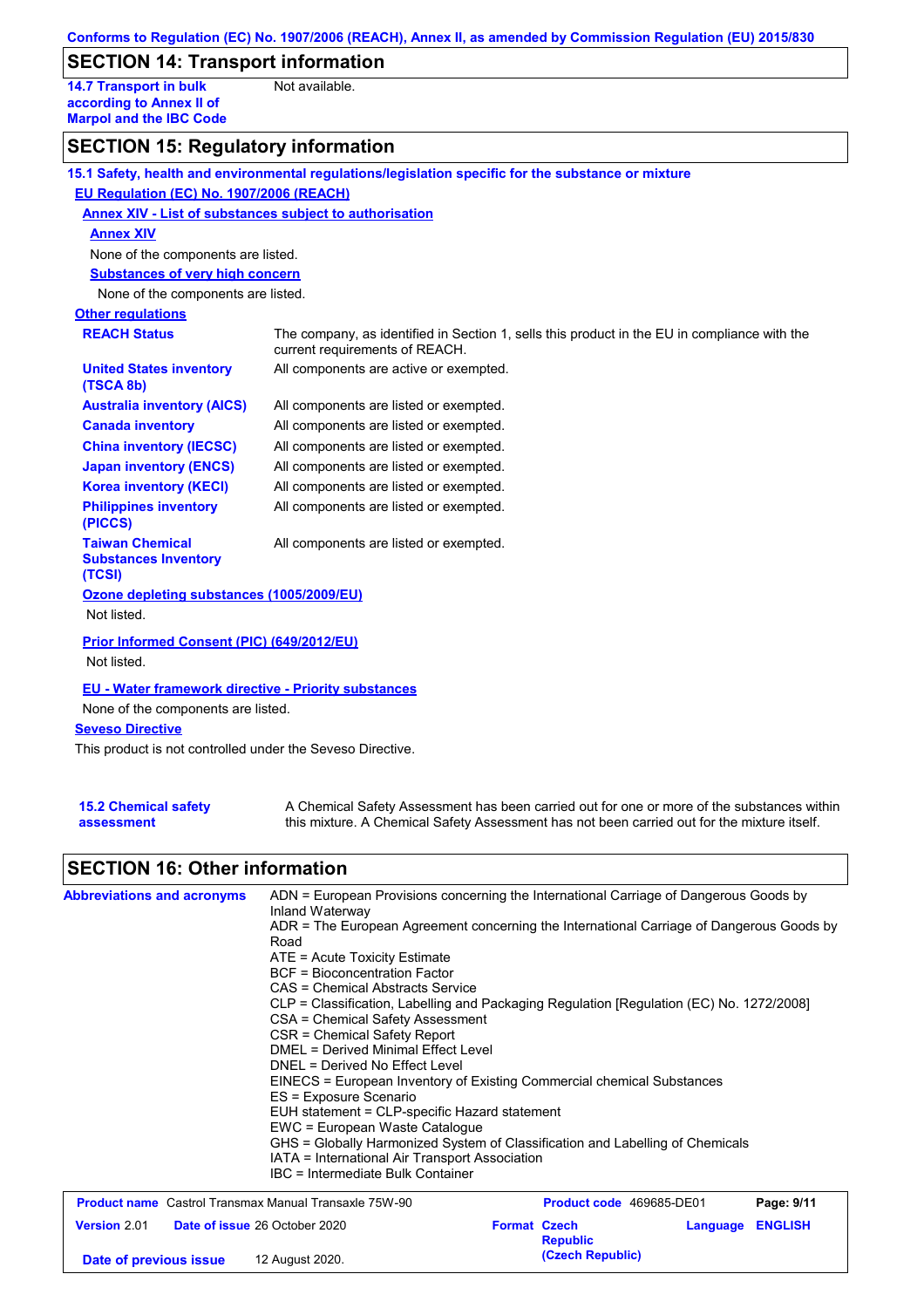## **SECTION 14: Transport information**

**14.7 Transport in bulk according to Annex II of Marpol and the IBC Code** Not available.

## **SECTION 15: Regulatory information**

|                                                                 | 15.1 Safety, health and environmental regulations/legislation specific for the substance or mixture                            |
|-----------------------------------------------------------------|--------------------------------------------------------------------------------------------------------------------------------|
| EU Regulation (EC) No. 1907/2006 (REACH)                        |                                                                                                                                |
| Annex XIV - List of substances subject to authorisation         |                                                                                                                                |
| <b>Annex XIV</b>                                                |                                                                                                                                |
| None of the components are listed.                              |                                                                                                                                |
| <b>Substances of very high concern</b>                          |                                                                                                                                |
| None of the components are listed.                              |                                                                                                                                |
| <b>Other regulations</b>                                        |                                                                                                                                |
| <b>REACH Status</b>                                             | The company, as identified in Section 1, sells this product in the EU in compliance with the<br>current requirements of REACH. |
| <b>United States inventory</b><br>(TSCA 8b)                     | All components are active or exempted.                                                                                         |
| <b>Australia inventory (AICS)</b>                               | All components are listed or exempted.                                                                                         |
| <b>Canada inventory</b>                                         | All components are listed or exempted.                                                                                         |
| <b>China inventory (IECSC)</b>                                  | All components are listed or exempted.                                                                                         |
| <b>Japan inventory (ENCS)</b>                                   | All components are listed or exempted.                                                                                         |
| <b>Korea inventory (KECI)</b>                                   | All components are listed or exempted.                                                                                         |
| <b>Philippines inventory</b><br>(PICCS)                         | All components are listed or exempted.                                                                                         |
| <b>Taiwan Chemical</b><br><b>Substances Inventory</b><br>(TCSI) | All components are listed or exempted.                                                                                         |
| Ozone depleting substances (1005/2009/EU)<br>Not listed.        |                                                                                                                                |
| Prior Informed Consent (PIC) (649/2012/EU)<br>Not listed.       |                                                                                                                                |
| <b>EU - Water framework directive - Priority substances</b>     |                                                                                                                                |
| None of the components are listed.                              |                                                                                                                                |
| <b>Seveso Directive</b>                                         |                                                                                                                                |
| This product is not controlled under the Seveso Directive.      |                                                                                                                                |
|                                                                 |                                                                                                                                |

#### **15.2 Chemical safety assessment**

A Chemical Safety Assessment has been carried out for one or more of the substances within this mixture. A Chemical Safety Assessment has not been carried out for the mixture itself.

# **SECTION 16: Other information**

| <b>Product name</b> Castrol Transmax Manual Transaxle 75W-90<br><b>Product code</b> 469685-DE01  | DNEL = Derived No Effect Level<br>ES = Exposure Scenario<br>EUH statement = CLP-specific Hazard statement<br>EWC = European Waste Catalogue<br>IATA = International Air Transport Association<br>IBC = Intermediate Bulk Container | EINECS = European Inventory of Existing Commercial chemical Substances<br>GHS = Globally Harmonized System of Classification and Labelling of Chemicals |
|--------------------------------------------------------------------------------------------------|------------------------------------------------------------------------------------------------------------------------------------------------------------------------------------------------------------------------------------|---------------------------------------------------------------------------------------------------------------------------------------------------------|
|                                                                                                  |                                                                                                                                                                                                                                    | Page: 9/11                                                                                                                                              |
| Version 2.01<br><b>Republic</b><br>(Czech Republic)<br>12 August 2020.<br>Date of previous issue | Date of issue 26 October 2020                                                                                                                                                                                                      | <b>Format Czech</b><br><b>ENGLISH</b><br>Language                                                                                                       |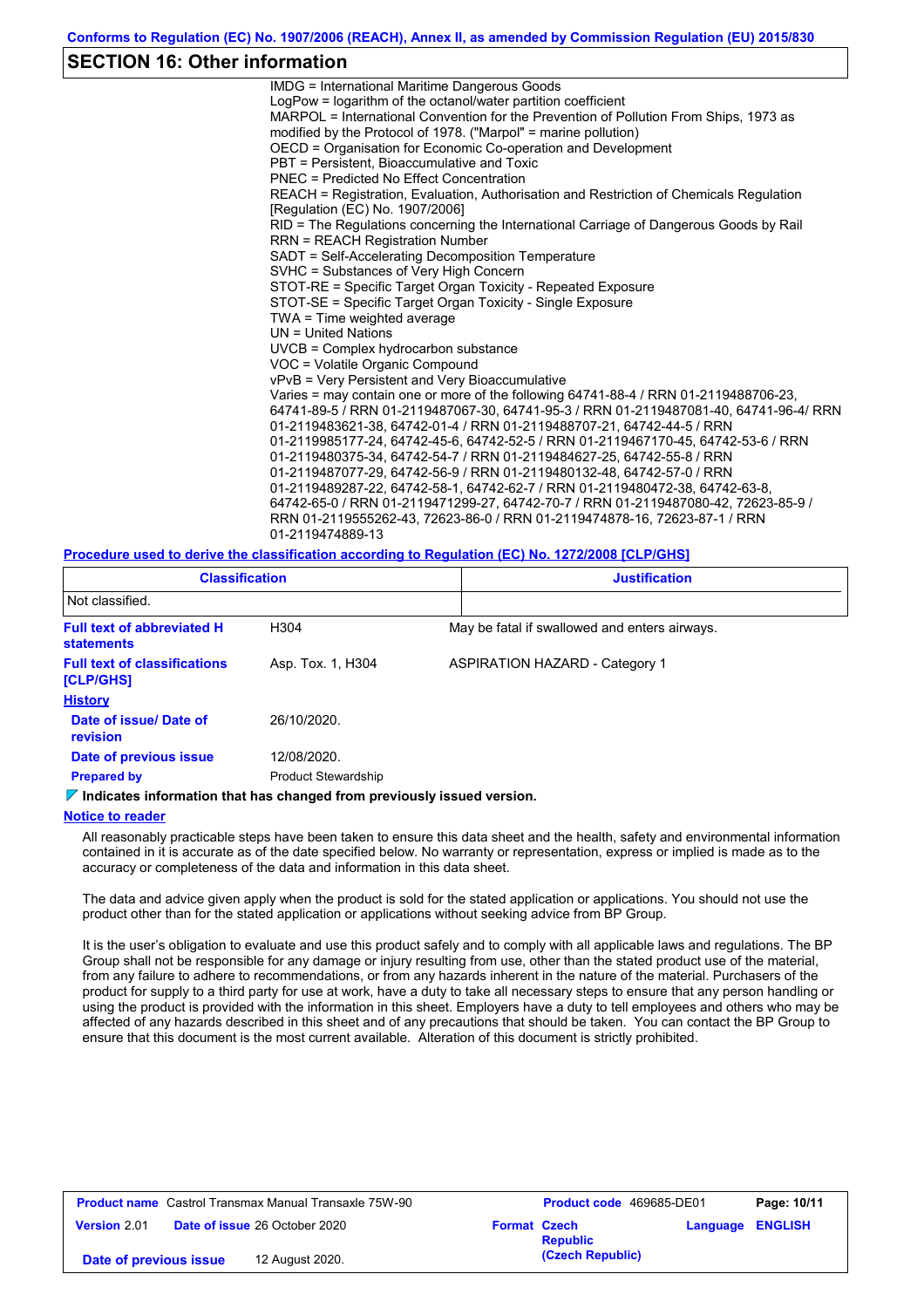### **SECTION 16: Other information**

IMDG = International Maritime Dangerous Goods LogPow = logarithm of the octanol/water partition coefficient MARPOL = International Convention for the Prevention of Pollution From Ships, 1973 as modified by the Protocol of 1978. ("Marpol" = marine pollution) OECD = Organisation for Economic Co-operation and Development PBT = Persistent, Bioaccumulative and Toxic PNEC = Predicted No Effect Concentration REACH = Registration, Evaluation, Authorisation and Restriction of Chemicals Regulation [Regulation (EC) No. 1907/2006] RID = The Regulations concerning the International Carriage of Dangerous Goods by Rail RRN = REACH Registration Number SADT = Self-Accelerating Decomposition Temperature SVHC = Substances of Very High Concern STOT-RE = Specific Target Organ Toxicity - Repeated Exposure STOT-SE = Specific Target Organ Toxicity - Single Exposure TWA = Time weighted average UN = United Nations UVCB = Complex hydrocarbon substance VOC = Volatile Organic Compound vPvB = Very Persistent and Very Bioaccumulative Varies = may contain one or more of the following 64741-88-4 / RRN 01-2119488706-23, 64741-89-5 / RRN 01-2119487067-30, 64741-95-3 / RRN 01-2119487081-40, 64741-96-4/ RRN 01-2119483621-38, 64742-01-4 / RRN 01-2119488707-21, 64742-44-5 / RRN 01-2119985177-24, 64742-45-6, 64742-52-5 / RRN 01-2119467170-45, 64742-53-6 / RRN 01-2119480375-34, 64742-54-7 / RRN 01-2119484627-25, 64742-55-8 / RRN 01-2119487077-29, 64742-56-9 / RRN 01-2119480132-48, 64742-57-0 / RRN 01-2119489287-22, 64742-58-1, 64742-62-7 / RRN 01-2119480472-38, 64742-63-8, 64742-65-0 / RRN 01-2119471299-27, 64742-70-7 / RRN 01-2119487080-42, 72623-85-9 / RRN 01-2119555262-43, 72623-86-0 / RRN 01-2119474878-16, 72623-87-1 / RRN 01-2119474889-13

**Procedure used to derive the classification according to Regulation (EC) No. 1272/2008 [CLP/GHS]**

| <b>Classification</b>                            |                            | <b>Justification</b>                          |  |  |  |
|--------------------------------------------------|----------------------------|-----------------------------------------------|--|--|--|
| Not classified.                                  |                            |                                               |  |  |  |
| <b>Full text of abbreviated H</b><br>statements  | H304                       | May be fatal if swallowed and enters airways. |  |  |  |
| <b>Full text of classifications</b><br>[CLP/GHS] | Asp. Tox. 1, H304          | <b>ASPIRATION HAZARD - Category 1</b>         |  |  |  |
| <b>History</b>                                   |                            |                                               |  |  |  |
| Date of issue/Date of<br><b>revision</b>         | 26/10/2020.                |                                               |  |  |  |
| Date of previous issue                           | 12/08/2020.                |                                               |  |  |  |
| <b>Prepared by</b>                               | <b>Product Stewardship</b> |                                               |  |  |  |

#### **Indicates information that has changed from previously issued version.**

#### **Notice to reader**

All reasonably practicable steps have been taken to ensure this data sheet and the health, safety and environmental information contained in it is accurate as of the date specified below. No warranty or representation, express or implied is made as to the accuracy or completeness of the data and information in this data sheet.

The data and advice given apply when the product is sold for the stated application or applications. You should not use the product other than for the stated application or applications without seeking advice from BP Group.

It is the user's obligation to evaluate and use this product safely and to comply with all applicable laws and regulations. The BP Group shall not be responsible for any damage or injury resulting from use, other than the stated product use of the material, from any failure to adhere to recommendations, or from any hazards inherent in the nature of the material. Purchasers of the product for supply to a third party for use at work, have a duty to take all necessary steps to ensure that any person handling or using the product is provided with the information in this sheet. Employers have a duty to tell employees and others who may be affected of any hazards described in this sheet and of any precautions that should be taken. You can contact the BP Group to ensure that this document is the most current available. Alteration of this document is strictly prohibited.

|                        | <b>Product name</b> Castrol Transmax Manual Transaxle 75W-90 |                     | Product code 469685-DE01 | Page: 10/11             |
|------------------------|--------------------------------------------------------------|---------------------|--------------------------|-------------------------|
| <b>Version 2.01</b>    | <b>Date of issue 26 October 2020</b>                         | <b>Format Czech</b> | <b>Republic</b>          | <b>Language ENGLISH</b> |
| Date of previous issue | 12 August 2020.                                              |                     | (Czech Republic)         |                         |